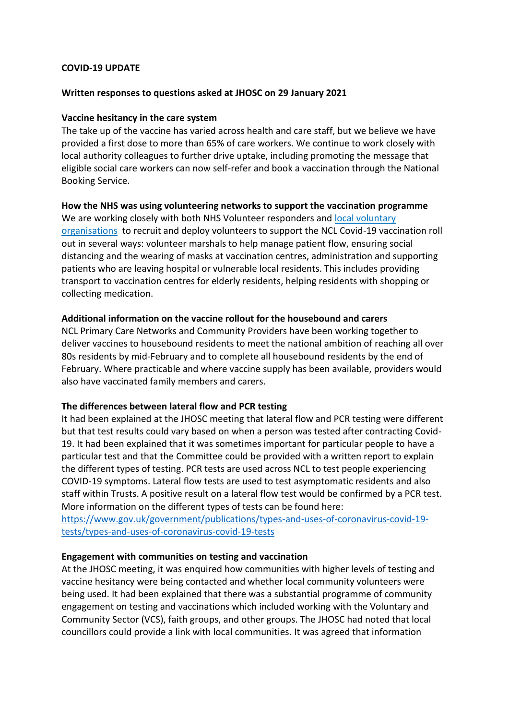# **COVID-19 UPDATE**

#### **Written responses to questions asked at JHOSC on 29 January 2021**

#### **Vaccine hesitancy in the care system**

The take up of the vaccine has varied across health and care staff, but we believe we have provided a first dose to more than 65% of care workers. We continue to work closely with local authority colleagues to further drive uptake, including promoting the message that eligible social care workers can now self-refer and book a vaccination through the National Booking Service.

#### **How the NHS was using volunteering networks to support the vaccination programme**

We are working closely with both NHS Volunteer responders and local voluntary [organisations](http://camdenccgexternal.newsweaver.com/lz6od5nh5i/hxfibkz7pm01f8u6bz4z0i/external?a=6&p=6891752&t=828850) to recruit and deploy volunteers to support the NCL Covid-19 vaccination roll out in several ways: volunteer marshals to help manage patient flow, ensuring social distancing and the wearing of masks at vaccination centres, administration and supporting patients who are leaving hospital or vulnerable local residents. This includes providing transport to vaccination centres for elderly residents, helping residents with shopping or collecting medication.

#### **Additional information on the vaccine rollout for the housebound and carers**

NCL Primary Care Networks and Community Providers have been working together to deliver vaccines to housebound residents to meet the national ambition of reaching all over 80s residents by mid-February and to complete all housebound residents by the end of February. Where practicable and where vaccine supply has been available, providers would also have vaccinated family members and carers.

# **The differences between lateral flow and PCR testing**

It had been explained at the JHOSC meeting that lateral flow and PCR testing were different but that test results could vary based on when a person was tested after contracting Covid-19. It had been explained that it was sometimes important for particular people to have a particular test and that the Committee could be provided with a written report to explain the different types of testing. PCR tests are used across NCL to test people experiencing COVID-19 symptoms. Lateral flow tests are used to test asymptomatic residents and also staff within Trusts. A positive result on a lateral flow test would be confirmed by a PCR test. More information on the different types of tests can be found here:

[https://www.gov.uk/government/publications/types-and-uses-of-coronavirus-covid-19](https://www.gov.uk/government/publications/types-and-uses-of-coronavirus-covid-19-tests/types-and-uses-of-coronavirus-covid-19-tests) [tests/types-and-uses-of-coronavirus-covid-19-tests](https://www.gov.uk/government/publications/types-and-uses-of-coronavirus-covid-19-tests/types-and-uses-of-coronavirus-covid-19-tests)

# **Engagement with communities on testing and vaccination**

At the JHOSC meeting, it was enquired how communities with higher levels of testing and vaccine hesitancy were being contacted and whether local community volunteers were being used. It had been explained that there was a substantial programme of community engagement on testing and vaccinations which included working with the Voluntary and Community Sector (VCS), faith groups, and other groups. The JHOSC had noted that local councillors could provide a link with local communities. It was agreed that information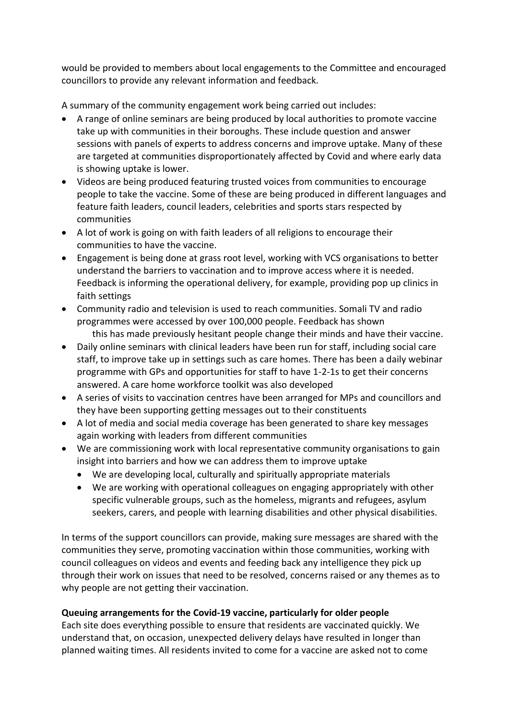would be provided to members about local engagements to the Committee and encouraged councillors to provide any relevant information and feedback.

A summary of the community engagement work being carried out includes:

- A range of online seminars are being produced by local authorities to promote vaccine take up with communities in their boroughs. These include question and answer sessions with panels of experts to address concerns and improve uptake. Many of these are targeted at communities disproportionately affected by Covid and where early data is showing uptake is lower.
- Videos are being produced featuring trusted voices from communities to encourage people to take the vaccine. Some of these are being produced in different languages and feature faith leaders, council leaders, celebrities and sports stars respected by communities
- A lot of work is going on with faith leaders of all religions to encourage their communities to have the vaccine.
- Engagement is being done at grass root level, working with VCS organisations to better understand the barriers to vaccination and to improve access where it is needed. Feedback is informing the operational delivery, for example, providing pop up clinics in faith settings
- Community radio and television is used to reach communities. Somali TV and radio programmes were accessed by over 100,000 people. Feedback has shown this has made previously hesitant people change their minds and have their vaccine.
- Daily online seminars with clinical leaders have been run for staff, including social care staff, to improve take up in settings such as care homes. There has been a daily webinar programme with GPs and opportunities for staff to have 1-2-1s to get their concerns answered. A care home workforce toolkit was also developed
- A series of visits to vaccination centres have been arranged for MPs and councillors and they have been supporting getting messages out to their constituents
- A lot of media and social media coverage has been generated to share key messages again working with leaders from different communities
- We are commissioning work with local representative community organisations to gain insight into barriers and how we can address them to improve uptake
	- We are developing local, culturally and spiritually appropriate materials
	- We are working with operational colleagues on engaging appropriately with other specific vulnerable groups, such as the homeless, migrants and refugees, asylum seekers, carers, and people with learning disabilities and other physical disabilities.

In terms of the support councillors can provide, making sure messages are shared with the communities they serve, promoting vaccination within those communities, working with council colleagues on videos and events and feeding back any intelligence they pick up through their work on issues that need to be resolved, concerns raised or any themes as to why people are not getting their vaccination.

# **Queuing arrangements for the Covid-19 vaccine, particularly for older people**

Each site does everything possible to ensure that residents are vaccinated quickly. We understand that, on occasion, unexpected delivery delays have resulted in longer than planned waiting times. All residents invited to come for a vaccine are asked not to come